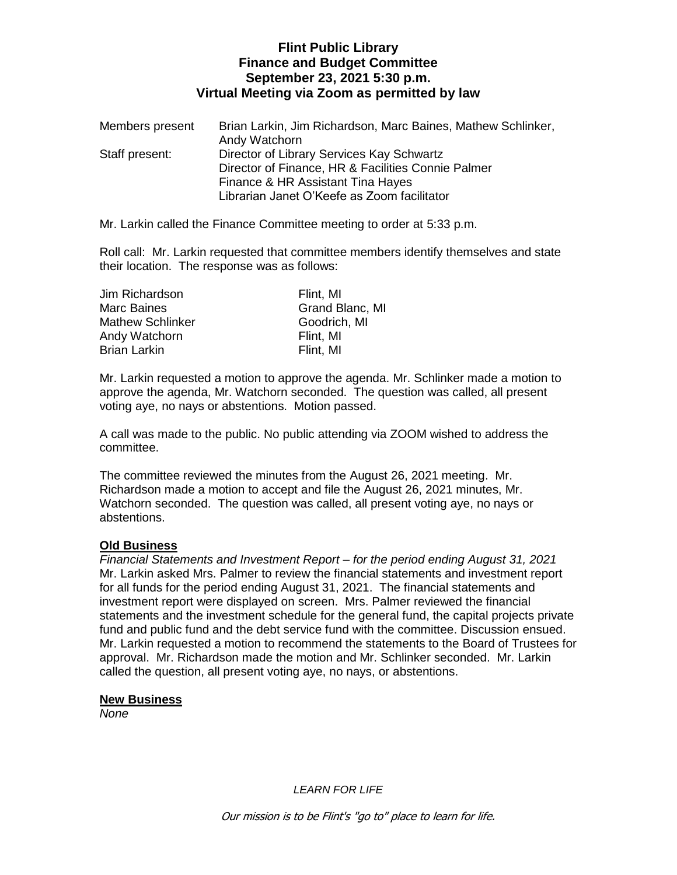# **Flint Public Library Finance and Budget Committee September 23, 2021 5:30 p.m. Virtual Meeting via Zoom as permitted by law**

| Members present | Brian Larkin, Jim Richardson, Marc Baines, Mathew Schlinker, |
|-----------------|--------------------------------------------------------------|
|                 | Andy Watchorn                                                |
| Staff present:  | Director of Library Services Kay Schwartz                    |
|                 | Director of Finance, HR & Facilities Connie Palmer           |
|                 | Finance & HR Assistant Tina Hayes                            |
|                 | Librarian Janet O'Keefe as Zoom facilitator                  |

Mr. Larkin called the Finance Committee meeting to order at 5:33 p.m.

Roll call: Mr. Larkin requested that committee members identify themselves and state their location. The response was as follows:

| Jim Richardson          | Flint, MI       |
|-------------------------|-----------------|
| <b>Marc Baines</b>      | Grand Blanc, MI |
| <b>Mathew Schlinker</b> | Goodrich, MI    |
| Andy Watchorn           | Flint, MI       |
| <b>Brian Larkin</b>     | Flint, MI       |

Mr. Larkin requested a motion to approve the agenda. Mr. Schlinker made a motion to approve the agenda, Mr. Watchorn seconded. The question was called, all present voting aye, no nays or abstentions. Motion passed.

A call was made to the public. No public attending via ZOOM wished to address the committee.

The committee reviewed the minutes from the August 26, 2021 meeting. Mr. Richardson made a motion to accept and file the August 26, 2021 minutes, Mr. Watchorn seconded. The question was called, all present voting aye, no nays or abstentions.

## **Old Business**

*Financial Statements and Investment Report – for the period ending August 31, 2021* Mr. Larkin asked Mrs. Palmer to review the financial statements and investment report for all funds for the period ending August 31, 2021. The financial statements and investment report were displayed on screen. Mrs. Palmer reviewed the financial statements and the investment schedule for the general fund, the capital projects private fund and public fund and the debt service fund with the committee. Discussion ensued. Mr. Larkin requested a motion to recommend the statements to the Board of Trustees for approval. Mr. Richardson made the motion and Mr. Schlinker seconded. Mr. Larkin called the question, all present voting aye, no nays, or abstentions.

## **New Business**

*None*

*LEARN FOR LIFE*